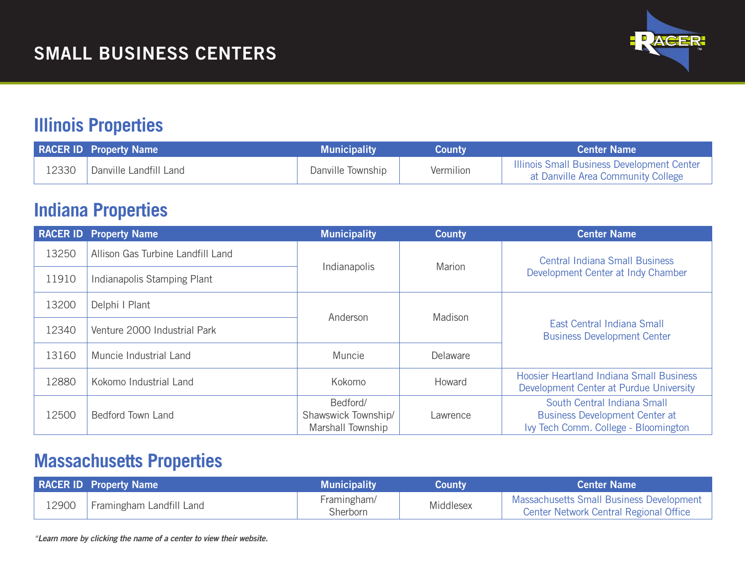

# **Illinois Properties**

|       | <b>RACER ID Property Name</b> | <b>Municipality</b> | Countv    | <b>Center Name</b>                                                                      |
|-------|-------------------------------|---------------------|-----------|-----------------------------------------------------------------------------------------|
| 12330 | <b>Danville Landfill Land</b> | Danville Township   | Vermilion | <b>Illinois Small Business Development Center</b><br>at Danville Area Community College |

## **Indiana Properties**

|       | <b>RACER ID Property Name</b>     | <b>Municipality</b>                                  | <b>County</b> | <b>Center Name</b>                                                                                           |
|-------|-----------------------------------|------------------------------------------------------|---------------|--------------------------------------------------------------------------------------------------------------|
| 13250 | Allison Gas Turbine Landfill Land |                                                      | Marion        | <b>Central Indiana Small Business</b><br>Development Center at Indy Chamber                                  |
| 11910 | Indianapolis Stamping Plant       | Indianapolis                                         |               |                                                                                                              |
| 13200 | Delphi I Plant                    | Anderson<br>Muncie                                   | Madison       | East Central Indiana Small<br><b>Business Development Center</b>                                             |
| 12340 | Venture 2000 Industrial Park      |                                                      |               |                                                                                                              |
| 13160 | Muncie Industrial Land            |                                                      | Delaware      |                                                                                                              |
| 12880 | Kokomo Industrial Land            | Kokomo                                               | Howard        | <b>Hoosier Heartland Indiana Small Business</b><br>Development Center at Purdue University                   |
| 12500 | Bedford Town Land                 | Bedford/<br>Shawswick Township/<br>Marshall Township | Lawrence      | South Central Indiana Small<br><b>Business Development Center at</b><br>Ivy Tech Comm. College - Bloomington |

#### **Massachusetts Properties**

|       | <b>RACER ID Property Name</b> | <b>Municipality</b>     | <b>County</b> | <b>Center Name</b>                                                                 |
|-------|-------------------------------|-------------------------|---------------|------------------------------------------------------------------------------------|
| 12900 | Framingham Landfill Land      | Framingham/<br>Sherborn | Middlesex     | Massachusetts Small Business Development<br>Center Network Central Regional Office |

*\*Learn more by clicking the name of a center to view their website.*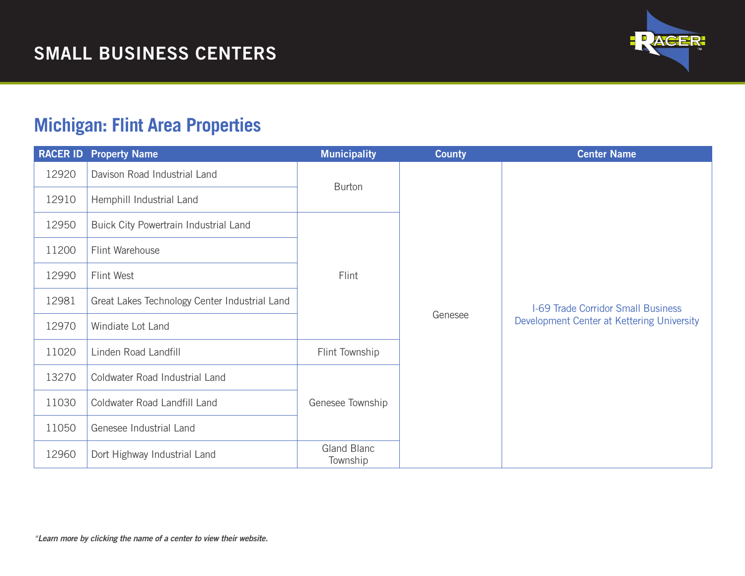

# **Michigan: Flint Area Properties**

|       | <b>RACER ID Property Name</b>                 | <b>Municipality</b>     | <b>County</b> | <b>Center Name</b>                                                                      |
|-------|-----------------------------------------------|-------------------------|---------------|-----------------------------------------------------------------------------------------|
| 12920 | Davison Road Industrial Land                  | <b>Burton</b>           |               |                                                                                         |
| 12910 | Hemphill Industrial Land                      |                         |               |                                                                                         |
| 12950 | Buick City Powertrain Industrial Land         |                         |               |                                                                                         |
| 11200 | Flint Warehouse                               |                         |               |                                                                                         |
| 12990 | Flint West                                    | Flint                   |               |                                                                                         |
| 12981 | Great Lakes Technology Center Industrial Land |                         | Genesee       | <b>I-69 Trade Corridor Small Business</b><br>Development Center at Kettering University |
| 12970 | Windiate Lot Land                             |                         |               |                                                                                         |
| 11020 | Linden Road Landfill                          | Flint Township          |               |                                                                                         |
| 13270 | Coldwater Road Industrial Land                |                         |               |                                                                                         |
| 11030 | Coldwater Road Landfill Land                  | Genesee Township        |               |                                                                                         |
| 11050 | Genesee Industrial Land                       |                         |               |                                                                                         |
| 12960 | Dort Highway Industrial Land                  | Gland Blanc<br>Township |               |                                                                                         |

*\*Learn more by clicking the name of a center to view their website.*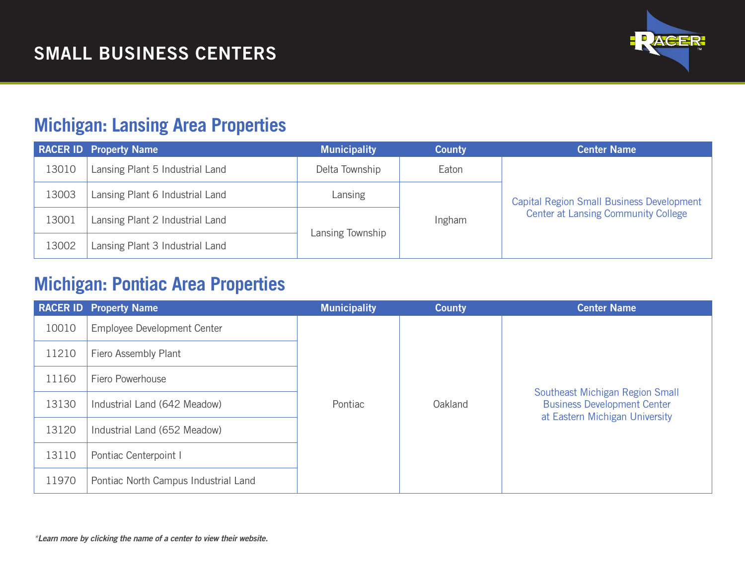

## **Michigan: Lansing Area Properties**

|       | <b>RACER ID Property Name</b>   | <b>Municipality</b> | <b>County</b> | <b>Center Name</b>                               |
|-------|---------------------------------|---------------------|---------------|--------------------------------------------------|
| 13010 | Lansing Plant 5 Industrial Land | Delta Township      | Eaton         |                                                  |
| 13003 | Lansing Plant 6 Industrial Land | Lansing             |               | <b>Capital Region Small Business Development</b> |
| 13001 | Lansing Plant 2 Industrial Land |                     | Ingham        | <b>Center at Lansing Community College</b>       |
| 13002 | Lansing Plant 3 Industrial Land | Lansing Township    |               |                                                  |

# **Michigan: Pontiac Area Properties**

|       | <b>RACER ID Property Name</b>        | <b>Municipality</b> | <b>County</b> | <b>Center Name</b>                                                                                      |
|-------|--------------------------------------|---------------------|---------------|---------------------------------------------------------------------------------------------------------|
| 10010 | Employee Development Center          |                     |               |                                                                                                         |
| 11210 | Fiero Assembly Plant                 |                     |               |                                                                                                         |
| 11160 | Fiero Powerhouse                     |                     |               |                                                                                                         |
| 13130 | Industrial Land (642 Meadow)         | Pontiac             | Oakland       | Southeast Michigan Region Small<br><b>Business Development Center</b><br>at Eastern Michigan University |
| 13120 | Industrial Land (652 Meadow)         |                     |               |                                                                                                         |
| 13110 | Pontiac Centerpoint I                |                     |               |                                                                                                         |
| 11970 | Pontiac North Campus Industrial Land |                     |               |                                                                                                         |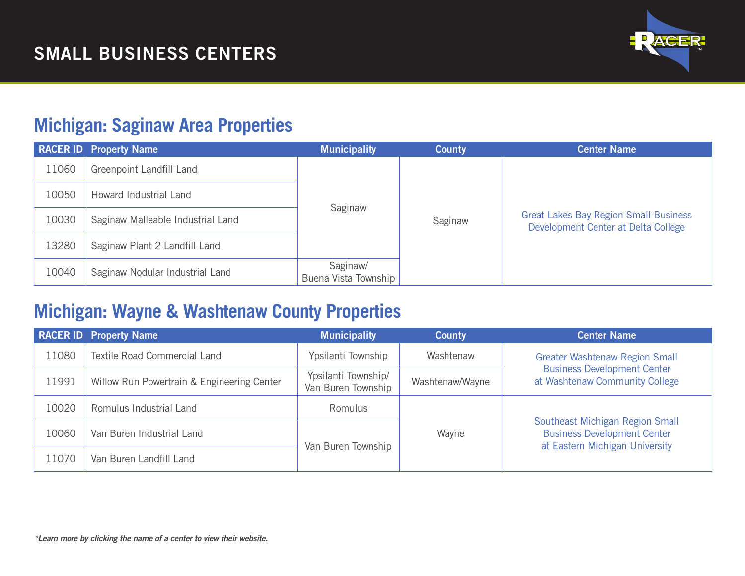

#### **Michigan: Saginaw Area Properties**

|       | <b>RACER ID Property Name</b>     | <b>Municipality</b>              | <b>County</b> | <b>Center Name</b>                                                                  |
|-------|-----------------------------------|----------------------------------|---------------|-------------------------------------------------------------------------------------|
| 11060 | Greenpoint Landfill Land          |                                  |               |                                                                                     |
| 10050 | Howard Industrial Land            |                                  |               |                                                                                     |
| 10030 | Saginaw Malleable Industrial Land | Saginaw                          | Saginaw       | <b>Great Lakes Bay Region Small Business</b><br>Development Center at Delta College |
| 13280 | Saginaw Plant 2 Landfill Land     |                                  |               |                                                                                     |
| 10040 | Saginaw Nodular Industrial Land   | Saginaw/<br>Buena Vista Township |               |                                                                                     |

#### **Michigan: Wayne & Washtenaw County Properties**

|       | <b>RACER ID Property Name</b>              | <b>Municipality</b>                       | <b>County</b>   | <b>Center Name</b>                                                                                      |
|-------|--------------------------------------------|-------------------------------------------|-----------------|---------------------------------------------------------------------------------------------------------|
| 11080 | <b>Textile Road Commercial Land</b>        | Ypsilanti Township                        | Washtenaw       | <b>Greater Washtenaw Region Small</b>                                                                   |
| 11991 | Willow Run Powertrain & Engineering Center | Ypsilanti Township/<br>Van Buren Township | Washtenaw/Wayne | <b>Business Development Center</b><br>at Washtenaw Community College                                    |
| 10020 | Romulus Industrial Land                    | Romulus                                   |                 |                                                                                                         |
| 10060 | Van Buren Industrial Land                  |                                           | Wayne           | Southeast Michigan Region Small<br><b>Business Development Center</b><br>at Eastern Michigan University |
| 1070  | Van Buren Landfill Land                    | Van Buren Township                        |                 |                                                                                                         |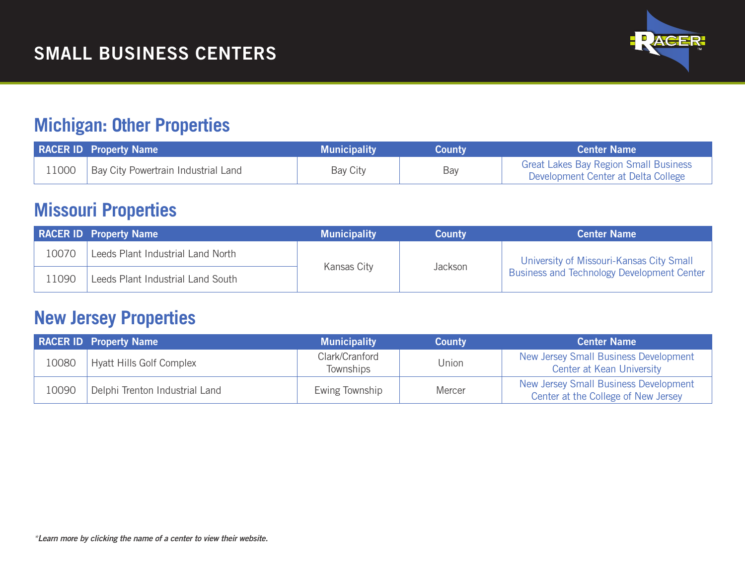

### **Michigan: Other Properties**

|       | <b>RACER ID Property Name</b>       | <b>Municipality</b> | Countv | <b>Center Name</b>                                                                  |
|-------|-------------------------------------|---------------------|--------|-------------------------------------------------------------------------------------|
| 11000 | Bay City Powertrain Industrial Land | Bay City            | Bay    | <b>Great Lakes Bay Region Small Business</b><br>Development Center at Delta College |

## **Missouri Properties**

|       | <b>RACER ID Property Name</b>     | <b>Municipality</b> | <b>County</b> | <b>Center Name</b>                         |
|-------|-----------------------------------|---------------------|---------------|--------------------------------------------|
| 10070 | Leeds Plant Industrial Land North |                     |               | University of Missouri-Kansas City Small   |
| 1090  | Leeds Plant Industrial Land South | Kansas City         | Jackson       | Business and Technology Development Center |

## **New Jersey Properties**

|       | <b>RACER ID Property Name</b>  | <b>Municipality</b>                | <b>County</b> | <b>Center Name</b>                                                           |
|-------|--------------------------------|------------------------------------|---------------|------------------------------------------------------------------------------|
| 10080 | Hyatt Hills Golf Complex       | Clark/Cranford<br><b>Townships</b> | Union         | New Jersey Small Business Development<br><b>Center at Kean University</b>    |
| 10090 | Delphi Trenton Industrial Land | Ewing Township                     | Mercer        | New Jersey Small Business Development<br>Center at the College of New Jersey |